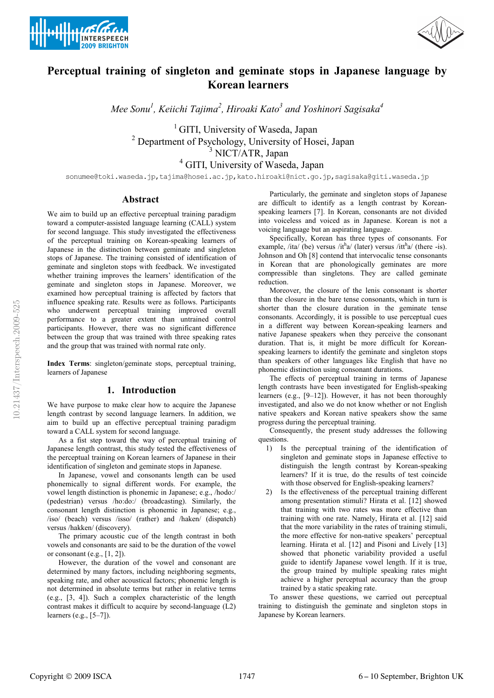



# Perceptual training of singleton and geminate stops in Japanese language by Korean learners

Mee Sonu<sup>1</sup>, Keiichi Tajima<sup>2</sup>, Hiroaki Kato<sup>3</sup> and Yoshinori Sagisaka<sup>4</sup>

<sup>1</sup> GITI, University of Waseda, Japan <sup>2</sup> Department of Psychology, University of Hosei, Japan <sup>3</sup> NICT/ATR, Japan 4 GITI, University of Waseda, Japan

sonumee@toki.waseda.jp,tajima@hosei.ac.jp,kato.hiroaki@nict.go.jp,sagisaka@giti.waseda.jp

#### Abstract

We aim to build up an effective perceptual training paradigm toward a computer-assisted language learning (CALL) system for second language. This study investigated the effectiveness of the perceptual training on Korean-speaking learners of Japanese in the distinction between geminate and singleton stops of Japanese. The training consisted of identification of geminate and singleton stops with feedback. We investigated whether training improves the learners' identification of the geminate and singleton stops in Japanese. Moreover, we examined how perceptual training is affected by factors that influence speaking rate. Results were as follows. Participants who underwent perceptual training improved overall performance to a greater extent than untrained control participants. However, there was no significant difference between the group that was trained with three speaking rates and the group that was trained with normal rate only.

Index Terms: singleton/geminate stops, perceptual training, learners of Japanese

## 1. Introduction

We have purpose to make clear how to acquire the Japanese length contrast by second language learners. In addition, we aim to build up an effective perceptual training paradigm toward a CALL system for second language.

As a fist step toward the way of perceptual training of Japanese length contrast, this study tested the effectiveness of the perceptual training on Korean learners of Japanese in their identification of singleton and geminate stops in Japanese.

In Japanese, vowel and consonants length can be used phonemically to signal different words. For example, the vowel length distinction is phonemic in Japanese; e.g., /hodo:/ (pedestrian) versus /ho:do:/ (broadcasting). Similarly, the consonant length distinction is phonemic in Japanese; e.g., /iso/ (beach) versus /isso/ (rather) and /haken/ (dispatch) versus /hakken/ (discovery).

The primary acoustic cue of the length contrast in both vowels and consonants are said to be the duration of the vowel or consonant (e.g.,  $[1, 2]$ ).

However, the duration of the vowel and consonant are determined by many factors, including neighboring segments, speaking rate, and other acoustical factors; phonemic length is not determined in absolute terms but rather in relative terms (e.g., [3, 4]). Such a complex characteristic of the length contrast makes it difficult to acquire by second-language (L2) learners (e.g., [5–7]).

Particularly, the geminate and singleton stops of Japanese are difficult to identify as a length contrast by Koreanspeaking learners [7]. In Korean, consonants are not divided into voiceless and voiced as in Japanese. Korean is not a voicing language but an aspirating language.

Specifically, Korean has three types of consonants. For example, /ita/ (be) versus /it $h$ a/ (later) versus /it $h$ a/ (there -is). Johnson and Oh [8] contend that intervocalic tense consonants in Korean that are phonologically geminates are more compressible than singletons. They are called geminate reduction.

Moreover, the closure of the lenis consonant is shorter than the closure in the bare tense consonants, which in turn is shorter than the closure duration in the geminate tense consonants. Accordingly, it is possible to use perceptual cues in a different way between Korean-speaking learners and native Japanese speakers when they perceive the consonant duration. That is, it might be more difficult for Koreanspeaking learners to identify the geminate and singleton stops than speakers of other languages like English that have no phonemic distinction using consonant durations.

The effects of perceptual training in terms of Japanese length contrasts have been investigated for English-speaking learners (e.g., [9–12]). However, it has not been thoroughly investigated, and also we do not know whether or not English native speakers and Korean native speakers show the same progress during the perceptual training.

Consequently, the present study addresses the following questions.

- 1) Is the perceptual training of the identification of singleton and geminate stops in Japanese effective to distinguish the length contrast by Korean-speaking learners? If it is true, do the results of test coincide with those observed for English-speaking learners?
- 2) Is the effectiveness of the perceptual training different among presentation stimuli? Hirata et al. [12] showed that training with two rates was more effective than training with one rate. Namely, Hirata et al. [12] said that the more variability in the rates of training stimuli, the more effective for non-native speakers' perceptual learning. Hirata et al. [12] and Pisoni and Lively [13] showed that phonetic variability provided a useful guide to identify Japanese vowel length. If it is true, the group trained by multiple speaking rates might achieve a higher perceptual accuracy than the group trained by a static speaking rate.

To answer these questions, we carried out perceptual training to distinguish the geminate and singleton stops in Japanese by Korean learners.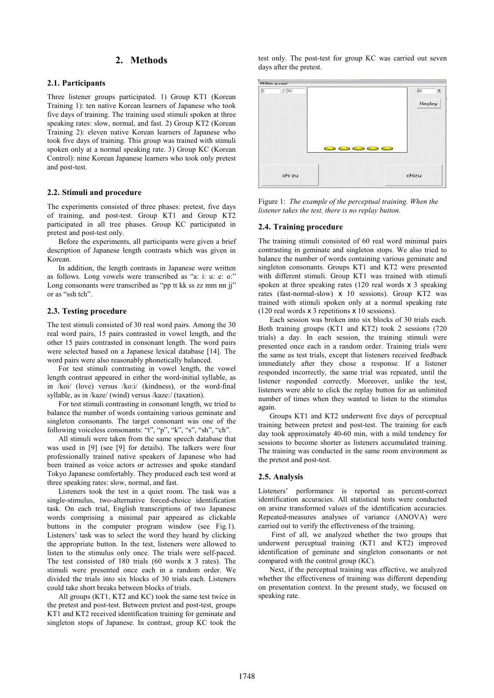# 2. Methods

#### 2.1. Participants

Three listener groups participated. 1) Group KT1 (Korean Training 1): ten native Korean learners of Japanese who took five days of training. The training used stimuli spoken at three speaking rates: slow, normal, and fast. 2) Group KT2 (Korean Training 2): eleven native Korean learners of Japanese who took five days of training. This group was trained with stimuli spoken only at a normal speaking rate. 3) Group KC (Korean Control): nine Korean Japanese learners who took only pretest and post-test.

#### 2.2. Stimuli and procedure

The experiments consisted of three phases: pretest, five days of training, and post-test. Group KT1 and Group KT2 participated in all tree phases. Group KC participated in pretest and post-test only.

Before the experiments, all participants were given a brief description of Japanese length contrasts which was given in Korean.

In addition, the length contrasts in Japanese were written as follows. Long vowels were transcribed as "a: i: u: e: o:" Long consonants were transcribed as "pp tt kk ss zz mm nn jj" or as "ssh tch".

#### 2.3. Testing procedure

The test stimuli consisted of 30 real word pairs. Among the 30 real word pairs, 15 pairs contrasted in vowel length, and the other 15 pairs contrasted in consonant length. The word pairs were selected based on a Japanese lexical database [14]. The word pairs were also reasonably phonetically balanced.

For test stimuli contrasting in vowel length, the vowel length contrast appeared in either the word-initial syllable, as in /koi/ (love) versus /ko:i/ (kindness), or the word-final syllable, as in /kaze/ (wind) versus /kaze:/ (taxation).

For test stimuli contrasting in consonant length, we tried to balance the number of words containing various geminate and singleton consonants. The target consonant was one of the following voiceless consonants: "t", "p", "k", "s", "sh", "ch".

All stimuli were taken from the same speech database that was used in [9] (see [9] for details). The talkers were four professionally trained native speakers of Japanese who had been trained as voice actors or actresses and spoke standard Tokyo Japanese comfortably. They produced each test word at three speaking rates: slow, normal, and fast.

Listeners took the test in a quiet room. The task was a single-stimulus, two-alternative forced-choice identification task. On each trial, English transcriptions of two Japanese words comprising a minimal pair appeared as clickable buttons in the computer program window (see Fig.1). Listeners' task was to select the word they heard by clicking the appropriate button. In the test, listeners were allowed to listen to the stimulus only once. The trials were self-paced. The test consisted of 180 trials (60 words x 3 rates). The stimuli were presented once each in a random order. We divided the trials into six blocks of 30 trials each. Listeners could take short breaks between blocks of trials.

All groups (KT1, KT2 and KC) took the same test twice in the pretest and post-test. Between pretest and post-test, groups KT1 and KT2 received identification training for geminate and singleton stops of Japanese. In contrast, group KC took the test only. The post-test for group KC was carried out seven days after the pretest.



Figure 1: The example of the perceptual training. When the listener takes the test, there is no replay button.

#### 2.4. Training procedure

The training stimuli consisted of 60 real word minimal pairs contrasting in geminate and singleton stops. We also tried to balance the number of words containing various geminate and singleton consonants. Groups KT1 and KT2 were presented with different stimuli. Group KT1 was trained with stimuli spoken at three speaking rates (120 real words x 3 speaking rates (fast-normal-slow) x 10 sessions). Group KT2 was trained with stimuli spoken only at a normal speaking rate (120 real words x 3 repetitions x 10 sessions).

Each session was broken into six blocks of 30 trials each. Both training groups (KT1 and KT2) took 2 sessions (720 trials) a day. In each session, the training stimuli were presented once each in a random order. Training trials were the same as test trials, except that listeners received feedback immediately after they chose a response. If a listener responded incorrectly, the same trial was repeated, until the listener responded correctly. Moreover, unlike the test, listeners were able to click the replay button for an unlimited number of times when they wanted to listen to the stimulus again.

Groups KT1 and KT2 underwent five days of perceptual training between pretest and post-test. The training for each day took approximately 40-60 min, with a mild tendency for sessions to become shorter as listeners accumulated training. The training was conducted in the same room environment as the pretest and post-test.

#### 2.5. Analysis

Listeners' performance is reported as percent-correct identification accuracies. All statistical tests were conducted on arsine transformed values of the identification accuracies. Repeated-measures analyses of variance (ANOVA) were carried out to verify the effectiveness of the training.

 First of all, we analyzed whether the two groups that underwent perceptual training (KT1 and KT2) improved identification of geminate and singleton consonants or not compared with the control group (KC).

Next, if the perceptual training was effective, we analyzed whether the effectiveness of training was different depending on presentation context. In the present study, we focused on speaking rate.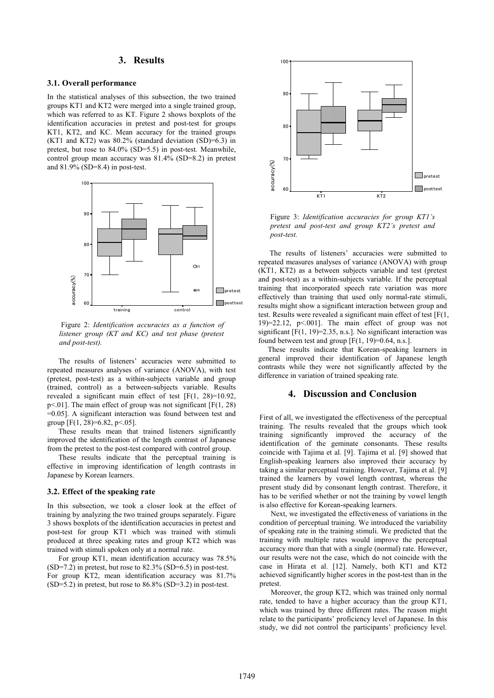# 3. Results

#### 3.1. Overall performance

In the statistical analyses of this subsection, the two trained groups KT1 and KT2 were merged into a single trained group, which was referred to as KT. Figure 2 shows boxplots of the identification accuracies in pretest and post-test for groups KT1, KT2, and KC. Mean accuracy for the trained groups (KT1 and KT2) was 80.2% (standard deviation (SD)=6.3) in pretest, but rose to 84.0% (SD=5.5) in post-test. Meanwhile, control group mean accuracy was 81.4% (SD=8.2) in pretest and 81.9% (SD=8.4) in post-test.



 Figure 2: Identification accuracies as a function of listener group (KT and KC) and test phase (pretest and post-test).

The results of listeners' accuracies were submitted to repeated measures analyses of variance (ANOVA), with test (pretest, post-test) as a within-subjects variable and group (trained, control) as a between-subjects variable. Results revealed a significant main effect of test [F(1, 28)=10.92,  $p<01$ . The main effect of group was not significant [F(1, 28) =0.05]. A significant interaction was found between test and group  $[F(1, 28)=6.82, p<0.65]$ .

These results mean that trained listeners significantly improved the identification of the length contrast of Japanese from the pretest to the post-test compared with control group.

These results indicate that the perceptual training is effective in improving identification of length contrasts in Japanese by Korean learners.

#### 3.2. Effect of the speaking rate

In this subsection, we took a closer look at the effect of training by analyzing the two trained groups separately. Figure 3 shows boxplots of the identification accuracies in pretest and post-test for group KT1 which was trained with stimuli produced at three speaking rates and group KT2 which was trained with stimuli spoken only at a normal rate.

For group KT1, mean identification accuracy was 78.5%  $(SD=7.2)$  in pretest, but rose to  $82.3\%$   $(SD=6.5)$  in post-test. For group KT2, mean identification accuracy was 81.7% (SD=5.2) in pretest, but rose to 86.8% (SD=3.2) in post-test.



Figure 3: Identification accuracies for group KT1's pretest and post-test and group KT2's pretest and post-test.

The results of listeners' accuracies were submitted to repeated measures analyses of variance (ANOVA) with group (KT1, KT2) as a between subjects variable and test (pretest and post-test) as a within-subjects variable. If the perceptual training that incorporated speech rate variation was more effectively than training that used only normal-rate stimuli, results might show a significant interaction between group and test. Results were revealed a significant main effect of test [F(1, 19 $=$ 22.12, p $\leq$ .001]. The main effect of group was not significant  $[F(1, 19)=2.35, n.s.]$ . No significant interaction was found between test and group  $[F(1, 19)=0.64, n.s.].$ 

 These results indicate that Korean-speaking learners in general improved their identification of Japanese length contrasts while they were not significantly affected by the difference in variation of trained speaking rate.

# 4. Discussion and Conclusion

First of all, we investigated the effectiveness of the perceptual training. The results revealed that the groups which took training significantly improved the accuracy of the identification of the geminate consonants. These results coincide with Tajima et al. [9]. Tajima et al. [9] showed that English-speaking learners also improved their accuracy by taking a similar perceptual training. However, Tajima et al. [9] trained the learners by vowel length contrast, whereas the present study did by consonant length contrast. Therefore, it has to be verified whether or not the training by vowel length is also effective for Korean-speaking learners.

Next, we investigated the effectiveness of variations in the condition of perceptual training. We introduced the variability of speaking rate in the training stimuli. We predicted that the training with multiple rates would improve the perceptual accuracy more than that with a single (normal) rate. However, our results were not the case, which do not coincide with the case in Hirata et al. [12]. Namely, both KT1 and KT2 achieved significantly higher scores in the post-test than in the pretest.

Moreover, the group KT2, which was trained only normal rate, tended to have a higher accuracy than the group KT1, which was trained by three different rates. The reason might relate to the participants' proficiency level of Japanese. In this study, we did not control the participants' proficiency level.